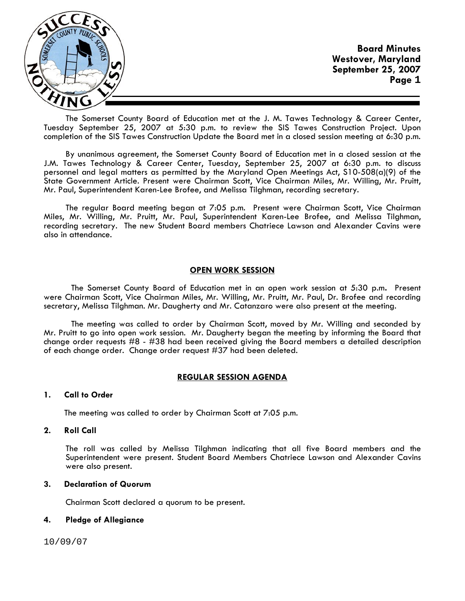

The Somerset County Board of Education met at the J. M. Tawes Technology & Career Center, Tuesday September 25, 2007 at 5:30 p.m. to review the SIS Tawes Construction Project. Upon completion of the SIS Tawes Construction Update the Board met in a closed session meeting at 6:30 p.m.

By unanimous agreement, the Somerset County Board of Education met in a closed session at the J.M. Tawes Technology & Career Center, Tuesday, September 25, 2007 at 6:30 p.m. to discuss personnel and legal matters as permitted by the Maryland Open Meetings Act, S10-508(a)(9) of the State Government Article. Present were Chairman Scott, Vice Chairman Miles, Mr. Willing, Mr. Pruitt, Mr. Paul, Superintendent Karen-Lee Brofee, and Melissa Tilghman, recording secretary.

The regular Board meeting began at 7:05 p.m. Present were Chairman Scott, Vice Chairman Miles, Mr. Willing, Mr. Pruitt, Mr. Paul, Superintendent Karen-Lee Brofee, and Melissa Tilghman, recording secretary. The new Student Board members Chatriece Lawson and Alexander Cavins were also in attendance.

# **OPEN WORK SESSION**

 The Somerset County Board of Education met in an open work session at 5:30 p.m**.** Present were Chairman Scott, Vice Chairman Miles, Mr. Willing, Mr. Pruitt, Mr. Paul, Dr. Brofee and recording secretary, Melissa Tilghman. Mr. Daugherty and Mr. Catanzaro were also present at the meeting.

 The meeting was called to order by Chairman Scott, moved by Mr. Willing and seconded by Mr. Pruitt to go into open work session. Mr. Daugherty began the meeting by informing the Board that change order requests #8 - #38 had been received giving the Board members a detailed description of each change order. Change order request #37 had been deleted.

# **REGULAR SESSION AGENDA**

## **1. Call to Order**

The meeting was called to order by Chairman Scott at 7:05 p.m.

## **2. Roll Call**

The roll was called by Melissa Tilghman indicating that all five Board members and the Superintendent were present. Student Board Members Chatriece Lawson and Alexander Cavins were also present.

# **3. Declaration of Quorum**

Chairman Scott declared a quorum to be present.

# **4. Pledge of Allegiance**

10/09/07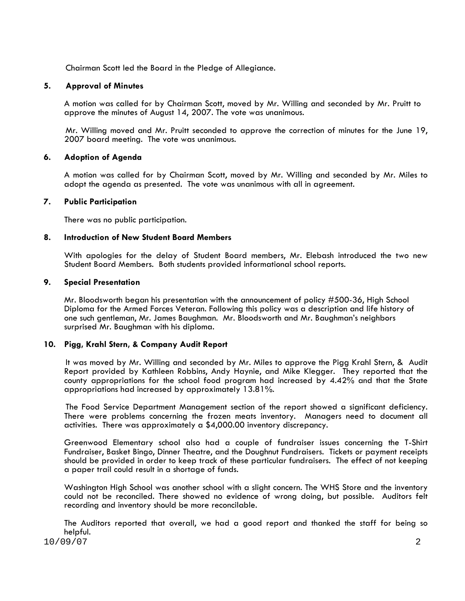Chairman Scott led the Board in the Pledge of Allegiance.

# **5. Approval of Minutes**

 A motion was called for by Chairman Scott, moved by Mr. Willing and seconded by Mr. Pruitt to approve the minutes of August 14, 2007. The vote was unanimous.

Mr. Willing moved and Mr. Pruitt seconded to approve the correction of minutes for the June 19, 2007 board meeting. The vote was unanimous.

# **6. Adoption of Agenda**

 A motion was called for by Chairman Scott, moved by Mr. Willing and seconded by Mr. Miles to adopt the agenda as presented. The vote was unanimous with all in agreement.

# **7. Public Participation**

There was no public participation.

# **8. Introduction of New Student Board Members**

With apologies for the delay of Student Board members, Mr. Elebash introduced the two new Student Board Members. Both students provided informational school reports.

## **9. Special Presentation**

Mr. Bloodsworth began his presentation with the announcement of policy #500-36, High School Diploma for the Armed Forces Veteran. Following this policy was a description and life history of one such gentleman, Mr. James Baughman. Mr. Bloodsworth and Mr. Baughman's neighbors surprised Mr. Baughman with his diploma.

# **10. Pigg, Krahl Stern, & Company Audit Report**

It was moved by Mr. Willing and seconded by Mr. Miles to approve the Pigg Krahl Stern, & Audit Report provided by Kathleen Robbins, Andy Haynie, and Mike Klegger. They reported that the county appropriations for the school food program had increased by 4.42% and that the State appropriations had increased by approximately 13.81%.

 The Food Service Department Management section of the report showed a significant deficiency. There were problems concerning the frozen meats inventory. Managers need to document all activities. There was approximately a \$4,000.00 inventory discrepancy.

Greenwood Elementary school also had a couple of fundraiser issues concerning the T-Shirt Fundraiser, Basket Bingo, Dinner Theatre, and the Doughnut Fundraisers. Tickets or payment receipts should be provided in order to keep track of these particular fundraisers. The effect of not keeping<br>a paper trail could result in a shortage of funds.

Washington High School was another school with a slight concern. The WHS Store and the inventory could not be reconciled. There showed no evidence of wrong doing, but possible. Auditors felt recording and inventory should be more reconcilable.

The Auditors reported that overall, we had a good report and thanked the staff for being so helpful.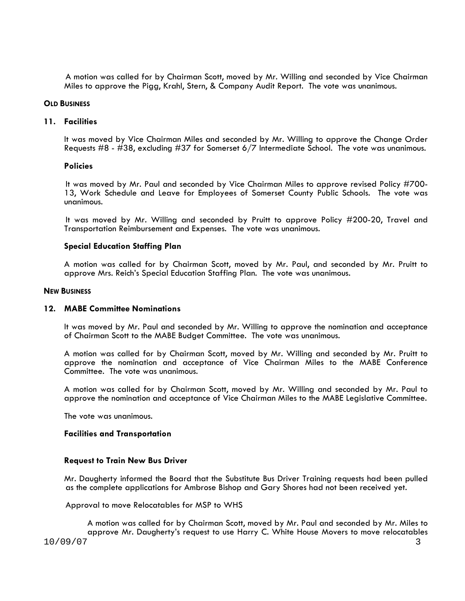A motion was called for by Chairman Scott, moved by Mr. Willing and seconded by Vice Chairman Miles to approve the Pigg, Krahl, Stern, & Company Audit Report. The vote was unanimous.

#### **OLD BUSINESS**

## **11. Facilities**

It was moved by Vice Chairman Miles and seconded by Mr. Willing to approve the Change Order Requests #8 - #38, excluding #37 for Somerset 6/7 Intermediate School. The vote was unanimous.

#### **Policies**

 It was moved by Mr. Paul and seconded by Vice Chairman Miles to approve revised Policy #700- 13, Work Schedule and Leave for Employees of Somerset County Public Schools. The vote was unanimous.

 It was moved by Mr. Willing and seconded by Pruitt to approve Policy #200-20, Travel and Transportation Reimbursement and Expenses. The vote was unanimous.

## **Special Education Staffing Plan**

A motion was called for by Chairman Scott, moved by Mr. Paul, and seconded by Mr. Pruitt to approve Mrs. Reich's Special Education Staffing Plan. The vote was unanimous.

#### **NEW BUSINESS**

## **12. MABE Committee Nominations**

It was moved by Mr. Paul and seconded by Mr. Willing to approve the nomination and acceptance of Chairman Scott to the MABE Budget Committee. The vote was unanimous.

A motion was called for by Chairman Scott, moved by Mr. Willing and seconded by Mr. Pruitt to approve the nomination and acceptance of Vice Chairman Miles to the MABE Conference Committee. The vote was unanimous.

A motion was called for by Chairman Scott, moved by Mr. Willing and seconded by Mr. Paul to approve the nomination and acceptance of Vice Chairman Miles to the MABE Legislative Committee. The vote was unanimous.

## **Facilities and Transportation**

## **Request to Train New Bus Driver**

Mr. Daugherty informed the Board that the Substitute Bus Driver Training requests had been pulled as the complete applications for Ambrose Bishop and Gary Shores had not been received yet.

Approval to move Relocatables for MSP to WHS

10/09/07 3 A motion was called for by Chairman Scott, moved by Mr. Paul and seconded by Mr. Miles to approve Mr. Daugherty's request to use Harry C. White House Movers to move relocatables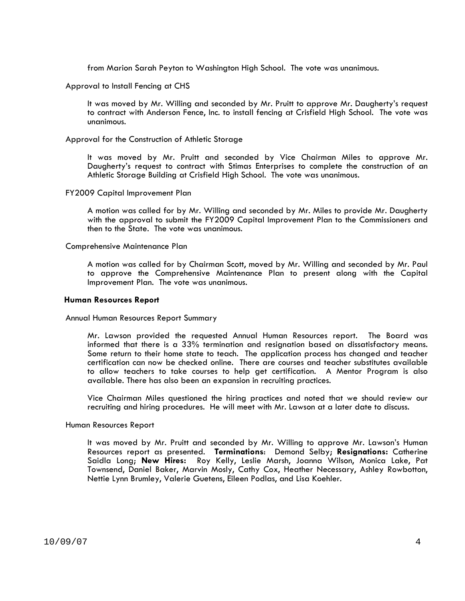from Marion Sarah Peyton to Washington High School. The vote was unanimous.

Approval to Install Fencing at CHS

It was moved by Mr. Willing and seconded by Mr. Pruitt to approve Mr. Daugherty's request to contract with Anderson Fence, Inc. to install fencing at Crisfield High School. The vote was unanimous.

#### Approval for the Construction of Athletic Storage

It was moved by Mr. Pruitt and seconded by Vice Chairman Miles to approve Mr. Daugherty's request to contract with Stimas Enterprises to complete the construction of an Athletic Storage Building at Crisfield High School. The vote was unanimous.

#### FY2009 Capital Improvement Plan

A motion was called for by Mr. Willing and seconded by Mr. Miles to provide Mr. Daugherty with the approval to submit the FY2009 Capital Improvement Plan to the Commissioners and then to the State. The vote was unanimous.

#### Comprehensive Maintenance Plan

A motion was called for by Chairman Scott, moved by Mr. Willing and seconded by Mr. Paul to approve the Comprehensive Maintenance Plan to present along with the Capital Improvement Plan. The vote was unanimous.

#### **Human Resources Report**

#### Annual Human Resources Report Summary

 Mr. Lawson provided the requested Annual Human Resources report. The Board was informed that there is a 33% termination and resignation based on dissatisfactory means. Some return to their home state to teach. The application process has changed and teacher certification can now be checked online. There are courses and teacher substitutes available to allow teachers to take courses to help get certification. A Mentor Program is also available. There has also been an expansion in recruiting practices.

Vice Chairman Miles questioned the hiring practices and noted that we should review our recruiting and hiring procedures. He will meet with Mr. Lawson at a later date to discuss.

#### Human Resources Report

It was moved by Mr. Pruitt and seconded by Mr. Willing to approve Mr. Lawson's Human Resources report as presented. **Terminations**: Demond Selby; **Resignations:** Catherine Saidla Long; **New Hires:** Roy Kelly, Leslie Marsh, Joanna Wilson, Monica Lake, Pat Townsend, Daniel Baker, Marvin Mosly, Cathy Cox, Heather Necessary, Ashley Rowbotton, Nettie Lynn Brumley, Valerie Guetens, Eileen Podlas, and Lisa Koehler.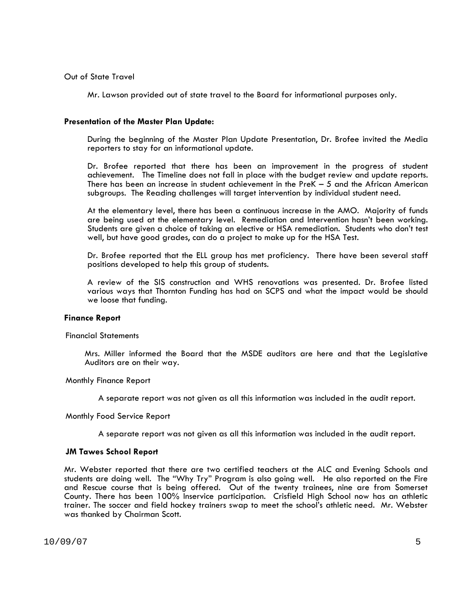# Out of State Travel

Mr. Lawson provided out of state travel to the Board for informational purposes only.

# **Presentation of the Master Plan Update:**

During the beginning of the Master Plan Update Presentation, Dr. Brofee invited the Media reporters to stay for an informational update.

Dr. Brofee reported that there has been an improvement in the progress of student achievement. The Timeline does not fall in place with the budget review and update reports. There has been an increase in student achievement in the PreK – 5 and the African American subgroups. The Reading challenges will target intervention by individual student need.

At the elementary level, there has been a continuous increase in the AMO. Majority of funds are being used at the elementary level. Remediation and Intervention hasn't been working. Students are given a choice of taking an elective or HSA remediation. Students who don't test well, but have good grades, can do a project to make up for the HSA Test.

Dr. Brofee reported that the ELL group has met proficiency. There have been several staff positions developed to help this group of students. A review of the SIS construction and WHS renovations was presented. Dr. Brofee listed

various ways that Thornton Funding has had on SCPS and what the impact would be should we loose that funding.

 **Finance Report** Financial Statements

Mrs. Miller informed the Board that the MSDE auditors are here and that the Legislative Auditors are on their way.

Monthly Finance Report

A separate report was not given as all this information was included in the audit report.

Monthly Food Service Report

A separate report was not given as all this information was included in the audit report.

## **JM Tawes School Report**

Mr. Webster reported that there are two certified teachers at the ALC and Evening Schools and students are doing well. The "Why Try" Program is also going well. He also reported on the Fire and Rescue course that is being offered. Out of the twenty trainees, nine are from Somerset County. There has been 100% Inservice participation. Crisfield High School now has an athletic trainer. The soccer and field hockey trainers swap to meet the school's athletic need. Mr. Webster was thanked by Chairman Scott.